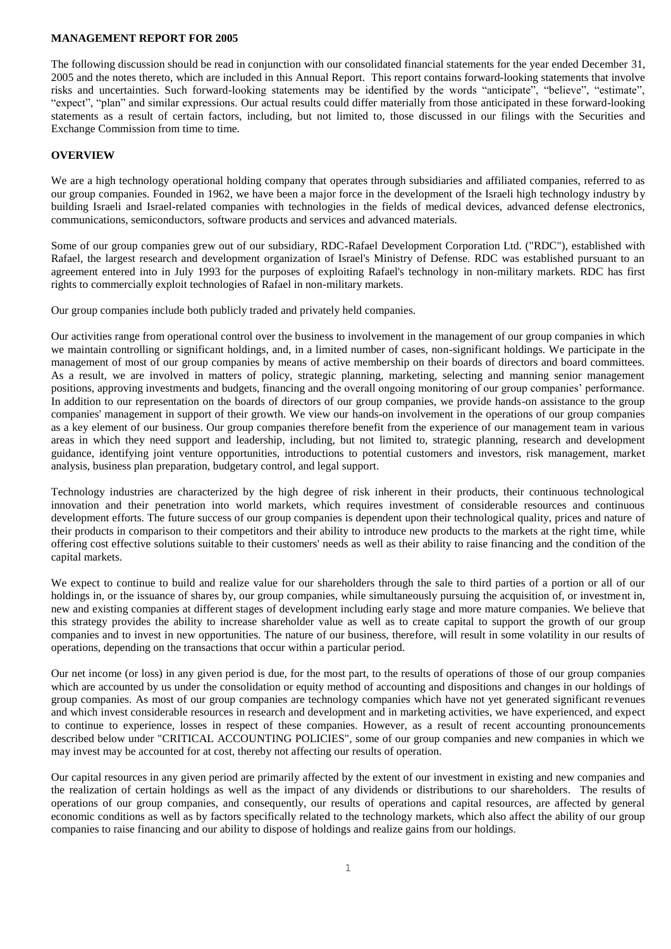### **MANAGEMENT REPORT FOR 2005**

The following discussion should be read in conjunction with our consolidated financial statements for the year ended December 31, 2005 and the notes thereto, which are included in this Annual Report. This report contains forward-looking statements that involve risks and uncertainties. Such forward-looking statements may be identified by the words "anticipate", "believe", "estimate", "expect", "plan" and similar expressions. Our actual results could differ materially from those anticipated in these forward-looking statements as a result of certain factors, including, but not limited to, those discussed in our filings with the Securities and Exchange Commission from time to time.

# **OVERVIEW**

We are a high technology operational holding company that operates through subsidiaries and affiliated companies, referred to as our group companies. Founded in 1962, we have been a major force in the development of the Israeli high technology industry by building Israeli and Israel-related companies with technologies in the fields of medical devices, advanced defense electronics, communications, semiconductors, software products and services and advanced materials.

Some of our group companies grew out of our subsidiary, RDC-Rafael Development Corporation Ltd. ("RDC"), established with Rafael, the largest research and development organization of Israel's Ministry of Defense. RDC was established pursuant to an agreement entered into in July 1993 for the purposes of exploiting Rafael's technology in non-military markets. RDC has first rights to commercially exploit technologies of Rafael in non-military markets.

Our group companies include both publicly traded and privately held companies.

Our activities range from operational control over the business to involvement in the management of our group companies in which we maintain controlling or significant holdings, and, in a limited number of cases, non-significant holdings. We participate in the management of most of our group companies by means of active membership on their boards of directors and board committees. As a result, we are involved in matters of policy, strategic planning, marketing, selecting and manning senior management positions, approving investments and budgets, financing and the overall ongoing monitoring of our group companies' performance. In addition to our representation on the boards of directors of our group companies, we provide hands-on assistance to the group companies' management in support of their growth. We view our hands-on involvement in the operations of our group companies as a key element of our business. Our group companies therefore benefit from the experience of our management team in various areas in which they need support and leadership, including, but not limited to, strategic planning, research and development guidance, identifying joint venture opportunities, introductions to potential customers and investors, risk management, market analysis, business plan preparation, budgetary control, and legal support.

Technology industries are characterized by the high degree of risk inherent in their products, their continuous technological innovation and their penetration into world markets, which requires investment of considerable resources and continuous development efforts. The future success of our group companies is dependent upon their technological quality, prices and nature of their products in comparison to their competitors and their ability to introduce new products to the markets at the right time, while offering cost effective solutions suitable to their customers' needs as well as their ability to raise financing and the condition of the capital markets.

We expect to continue to build and realize value for our shareholders through the sale to third parties of a portion or all of our holdings in, or the issuance of shares by, our group companies, while simultaneously pursuing the acquisition of, or investment in, new and existing companies at different stages of development including early stage and more mature companies. We believe that this strategy provides the ability to increase shareholder value as well as to create capital to support the growth of our group companies and to invest in new opportunities. The nature of our business, therefore, will result in some volatility in our results of operations, depending on the transactions that occur within a particular period.

Our net income (or loss) in any given period is due, for the most part, to the results of operations of those of our group companies which are accounted by us under the consolidation or equity method of accounting and dispositions and changes in our holdings of group companies. As most of our group companies are technology companies which have not yet generated significant revenues and which invest considerable resources in research and development and in marketing activities, we have experienced, and expect to continue to experience, losses in respect of these companies. However, as a result of recent accounting pronouncements described below under "CRITICAL ACCOUNTING POLICIES", some of our group companies and new companies in which we may invest may be accounted for at cost, thereby not affecting our results of operation.

Our capital resources in any given period are primarily affected by the extent of our investment in existing and new companies and the realization of certain holdings as well as the impact of any dividends or distributions to our shareholders. The results of operations of our group companies, and consequently, our results of operations and capital resources, are affected by general economic conditions as well as by factors specifically related to the technology markets, which also affect the ability of our group companies to raise financing and our ability to dispose of holdings and realize gains from our holdings.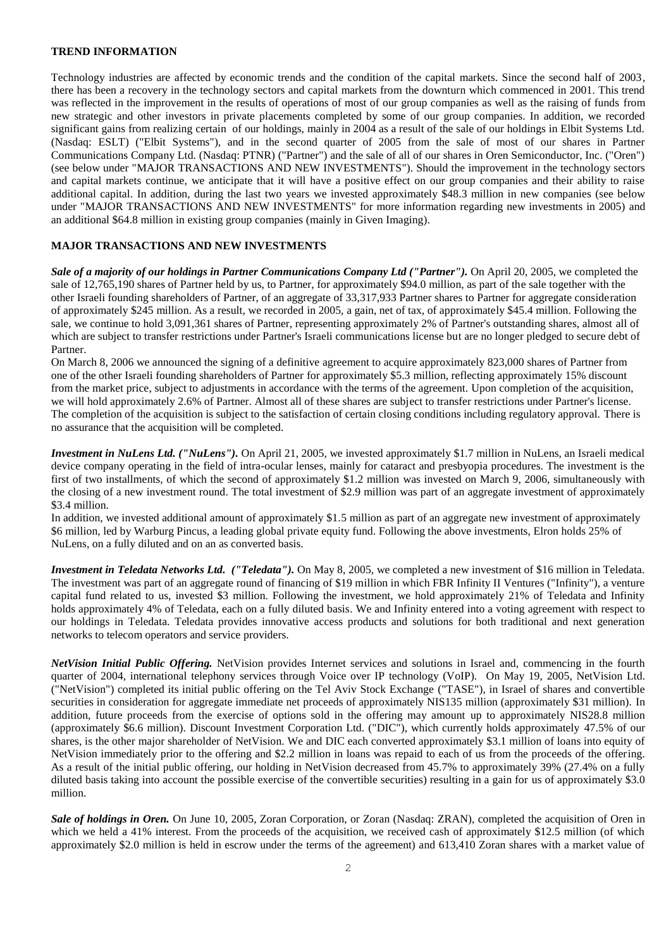# **TREND INFORMATION**

Technology industries are affected by economic trends and the condition of the capital markets. Since the second half of 2003, there has been a recovery in the technology sectors and capital markets from the downturn which commenced in 2001. This trend was reflected in the improvement in the results of operations of most of our group companies as well as the raising of funds from new strategic and other investors in private placements completed by some of our group companies. In addition, we recorded significant gains from realizing certain of our holdings, mainly in 2004 as a result of the sale of our holdings in Elbit Systems Ltd. (Nasdaq: ESLT) ("Elbit Systems"), and in the second quarter of 2005 from the sale of most of our shares in Partner Communications Company Ltd. (Nasdaq: PTNR) ("Partner") and the sale of all of our shares in Oren Semiconductor, Inc. ("Oren") (see below under "MAJOR TRANSACTIONS AND NEW INVESTMENTS"). Should the improvement in the technology sectors and capital markets continue, we anticipate that it will have a positive effect on our group companies and their ability to raise additional capital. In addition, during the last two years we invested approximately \$48.3 million in new companies (see below under "MAJOR TRANSACTIONS AND NEW INVESTMENTS" for more information regarding new investments in 2005) and an additional \$64.8 million in existing group companies (mainly in Given Imaging).

# **MAJOR TRANSACTIONS AND NEW INVESTMENTS**

*Sale of a majority of our holdings in Partner Communications Company Ltd ("Partner").* On April 20, 2005, we completed the sale of 12,765,190 shares of Partner held by us, to Partner, for approximately \$94.0 million, as part of the sale together with the other Israeli founding shareholders of Partner, of an aggregate of 33,317,933 Partner shares to Partner for aggregate consideration of approximately \$245 million. As a result, we recorded in 2005, a gain, net of tax, of approximately \$45.4 million. Following the sale, we continue to hold 3,091,361 shares of Partner, representing approximately 2% of Partner's outstanding shares, almost all of which are subject to transfer restrictions under Partner's Israeli communications license but are no longer pledged to secure debt of Partner.

On March 8, 2006 we announced the signing of a definitive agreement to acquire approximately 823,000 shares of Partner from one of the other Israeli founding shareholders of Partner for approximately \$5.3 million, reflecting approximately 15% discount from the market price, subject to adjustments in accordance with the terms of the agreement. Upon completion of the acquisition, we will hold approximately 2.6% of Partner. Almost all of these shares are subject to transfer restrictions under Partner's license. The completion of the acquisition is subject to the satisfaction of certain closing conditions including regulatory approval. There is no assurance that the acquisition will be completed.

*Investment in NuLens Ltd. ("NuLens").* On April 21, 2005, we invested approximately \$1.7 million in NuLens, an Israeli medical device company operating in the field of intra-ocular lenses, mainly for cataract and presbyopia procedures. The investment is the first of two installments, of which the second of approximately \$1.2 million was invested on March 9, 2006, simultaneously with the closing of a new investment round. The total investment of \$2.9 million was part of an aggregate investment of approximately \$3.4 million.

In addition, we invested additional amount of approximately \$1.5 million as part of an aggregate new investment of approximately \$6 million, led by Warburg Pincus, a leading global private equity fund. Following the above investments, Elron holds 25% of NuLens, on a fully diluted and on an as converted basis.

*Investment in Teledata Networks Ltd. ("Teledata").* On May 8, 2005, we completed a new investment of \$16 million in Teledata. The investment was part of an aggregate round of financing of \$19 million in which FBR Infinity II Ventures ("Infinity"), a venture capital fund related to us, invested \$3 million. Following the investment, we hold approximately 21% of Teledata and Infinity holds approximately 4% of Teledata, each on a fully diluted basis. We and Infinity entered into a voting agreement with respect to our holdings in Teledata. Teledata provides innovative access products and solutions for both traditional and next generation networks to telecom operators and service providers.

*NetVision Initial Public Offering.* NetVision provides Internet services and solutions in Israel and, commencing in the fourth quarter of 2004, international telephony services through Voice over IP technology (VoIP). On May 19, 2005, NetVision Ltd. ("NetVision") completed its initial public offering on the Tel Aviv Stock Exchange ("TASE"), in Israel of shares and convertible securities in consideration for aggregate immediate net proceeds of approximately NIS135 million (approximately \$31 million). In addition, future proceeds from the exercise of options sold in the offering may amount up to approximately NIS28.8 million (approximately \$6.6 million). Discount Investment Corporation Ltd. ("DIC"), which currently holds approximately 47.5% of our shares, is the other major shareholder of NetVision. We and DIC each converted approximately \$3.1 million of loans into equity of NetVision immediately prior to the offering and \$2.2 million in loans was repaid to each of us from the proceeds of the offering. As a result of the initial public offering, our holding in NetVision decreased from 45.7% to approximately 39% (27.4% on a fully diluted basis taking into account the possible exercise of the convertible securities) resulting in a gain for us of approximately \$3.0 million.

*Sale of holdings in Oren.* On June 10, 2005, Zoran Corporation, or Zoran (Nasdaq: ZRAN), completed the acquisition of Oren in which we held a 41% interest. From the proceeds of the acquisition, we received cash of approximately \$12.5 million (of which approximately \$2.0 million is held in escrow under the terms of the agreement) and 613,410 Zoran shares with a market value of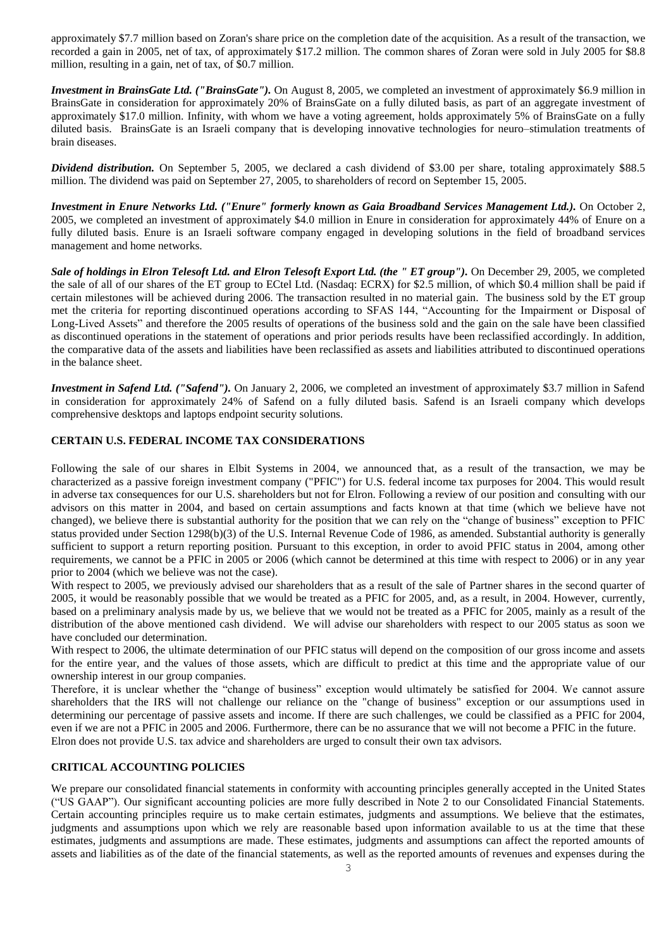approximately \$7.7 million based on Zoran's share price on the completion date of the acquisition. As a result of the transaction, we recorded a gain in 2005, net of tax, of approximately \$17.2 million. The common shares of Zoran were sold in July 2005 for \$8.8 million, resulting in a gain, net of tax, of \$0.7 million.

*Investment in BrainsGate Ltd.* ("*BrainsGate"*). On August 8, 2005, we completed an investment of approximately \$6.9 million in BrainsGate in consideration for approximately 20% of BrainsGate on a fully diluted basis, as part of an aggregate investment of approximately \$17.0 million. Infinity, with whom we have a voting agreement, holds approximately 5% of BrainsGate on a fully diluted basis. BrainsGate is an Israeli company that is developing innovative technologies for neuro–stimulation treatments of brain diseases.

*Dividend distribution.* On September 5, 2005, we declared a cash dividend of \$3.00 per share, totaling approximately \$88.5 million. The dividend was paid on September 27, 2005, to shareholders of record on September 15, 2005.

*Investment in Enure Networks Ltd. ("Enure" formerly known as Gaia Broadband Services Management Ltd.).* On October 2, 2005, we completed an investment of approximately \$4.0 million in Enure in consideration for approximately 44% of Enure on a fully diluted basis. Enure is an Israeli software company engaged in developing solutions in the field of broadband services management and home networks.

*Sale of holdings in Elron Telesoft Ltd. and Elron Telesoft Export Ltd. (the " ET group").* On December 29, 2005, we completed the sale of all of our shares of the ET group to ECtel Ltd. (Nasdaq: ECRX) for \$2.5 million, of which \$0.4 million shall be paid if certain milestones will be achieved during 2006. The transaction resulted in no material gain. The business sold by the ET group met the criteria for reporting discontinued operations according to SFAS 144, "Accounting for the Impairment or Disposal of Long-Lived Assets" and therefore the 2005 results of operations of the business sold and the gain on the sale have been classified as discontinued operations in the statement of operations and prior periods results have been reclassified accordingly. In addition, the comparative data of the assets and liabilities have been reclassified as assets and liabilities attributed to discontinued operations in the balance sheet.

*Investment in Safend Ltd. ("Safend").* On January 2, 2006, we completed an investment of approximately \$3.7 million in Safend in consideration for approximately 24% of Safend on a fully diluted basis. Safend is an Israeli company which develops comprehensive desktops and laptops endpoint security solutions.

# **CERTAIN U.S. FEDERAL INCOME TAX CONSIDERATIONS**

Following the sale of our shares in Elbit Systems in 2004, we announced that, as a result of the transaction, we may be characterized as a passive foreign investment company ("PFIC") for U.S. federal income tax purposes for 2004. This would result in adverse tax consequences for our U.S. shareholders but not for Elron. Following a review of our position and consulting with our advisors on this matter in 2004, and based on certain assumptions and facts known at that time (which we believe have not changed), we believe there is substantial authority for the position that we can rely on the "change of business" exception to PFIC status provided under Section 1298(b)(3) of the U.S. Internal Revenue Code of 1986, as amended. Substantial authority is generally sufficient to support a return reporting position. Pursuant to this exception, in order to avoid PFIC status in 2004, among other requirements, we cannot be a PFIC in 2005 or 2006 (which cannot be determined at this time with respect to 2006) or in any year prior to 2004 (which we believe was not the case).

With respect to 2005, we previously advised our shareholders that as a result of the sale of Partner shares in the second quarter of 2005, it would be reasonably possible that we would be treated as a PFIC for 2005, and, as a result, in 2004. However, currently, based on a preliminary analysis made by us, we believe that we would not be treated as a PFIC for 2005, mainly as a result of the distribution of the above mentioned cash dividend. We will advise our shareholders with respect to our 2005 status as soon we have concluded our determination.

With respect to 2006, the ultimate determination of our PFIC status will depend on the composition of our gross income and assets for the entire year, and the values of those assets, which are difficult to predict at this time and the appropriate value of our ownership interest in our group companies.

Therefore, it is unclear whether the "change of business" exception would ultimately be satisfied for 2004. We cannot assure shareholders that the IRS will not challenge our reliance on the "change of business" exception or our assumptions used in determining our percentage of passive assets and income. If there are such challenges, we could be classified as a PFIC for 2004, even if we are not a PFIC in 2005 and 2006. Furthermore, there can be no assurance that we will not become a PFIC in the future. Elron does not provide U.S. tax advice and shareholders are urged to consult their own tax advisors.

## **CRITICAL ACCOUNTING POLICIES**

We prepare our consolidated financial statements in conformity with accounting principles generally accepted in the United States ("US GAAP"). Our significant accounting policies are more fully described in Note 2 to our Consolidated Financial Statements. Certain accounting principles require us to make certain estimates, judgments and assumptions. We believe that the estimates, judgments and assumptions upon which we rely are reasonable based upon information available to us at the time that these estimates, judgments and assumptions are made. These estimates, judgments and assumptions can affect the reported amounts of assets and liabilities as of the date of the financial statements, as well as the reported amounts of revenues and expenses during the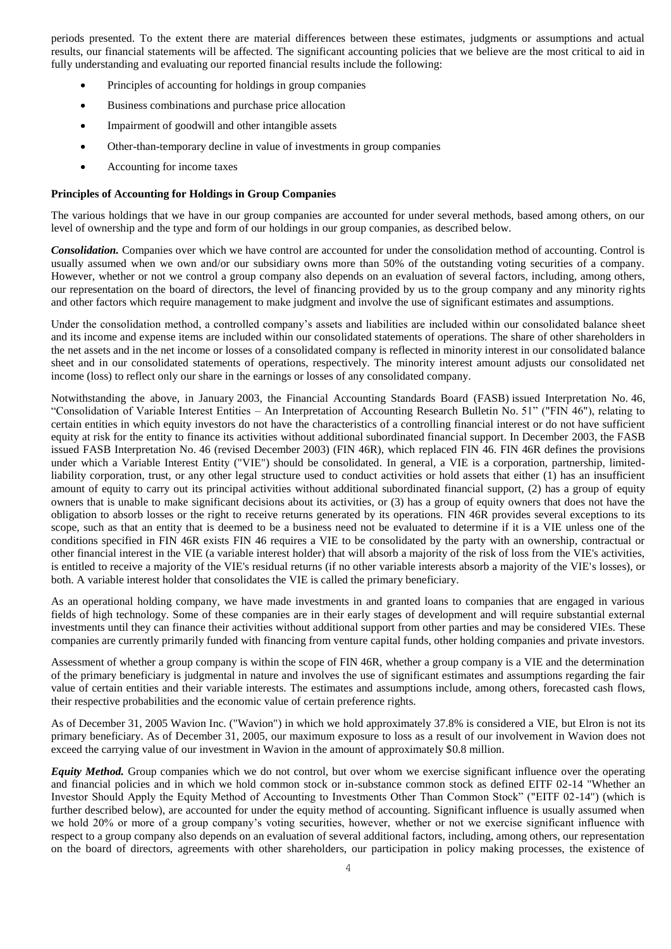periods presented. To the extent there are material differences between these estimates, judgments or assumptions and actual results, our financial statements will be affected. The significant accounting policies that we believe are the most critical to aid in fully understanding and evaluating our reported financial results include the following:

- Principles of accounting for holdings in group companies
- Business combinations and purchase price allocation
- Impairment of goodwill and other intangible assets
- Other-than-temporary decline in value of investments in group companies
- Accounting for income taxes

## **Principles of Accounting for Holdings in Group Companies**

The various holdings that we have in our group companies are accounted for under several methods, based among others, on our level of ownership and the type and form of our holdings in our group companies, as described below.

*Consolidation.* Companies over which we have control are accounted for under the consolidation method of accounting. Control is usually assumed when we own and/or our subsidiary owns more than 50% of the outstanding voting securities of a company. However, whether or not we control a group company also depends on an evaluation of several factors, including, among others, our representation on the board of directors, the level of financing provided by us to the group company and any minority rights and other factors which require management to make judgment and involve the use of significant estimates and assumptions.

Under the consolidation method, a controlled company's assets and liabilities are included within our consolidated balance sheet and its income and expense items are included within our consolidated statements of operations. The share of other shareholders in the net assets and in the net income or losses of a consolidated company is reflected in minority interest in our consolidated balance sheet and in our consolidated statements of operations, respectively. The minority interest amount adjusts our consolidated net income (loss) to reflect only our share in the earnings or losses of any consolidated company.

Notwithstanding the above, in January 2003, the Financial Accounting Standards Board (FASB) issued Interpretation No. 46, "Consolidation of Variable Interest Entities – An Interpretation of Accounting Research Bulletin No. 51" ("FIN 46"), relating to certain entities in which equity investors do not have the characteristics of a controlling financial interest or do not have sufficient equity at risk for the entity to finance its activities without additional subordinated financial support. In December 2003, the FASB issued FASB Interpretation No. 46 (revised December 2003) (FIN 46R), which replaced FIN 46. FIN 46R defines the provisions under which a Variable Interest Entity ("VIE") should be consolidated. In general, a VIE is a corporation, partnership, limitedliability corporation, trust, or any other legal structure used to conduct activities or hold assets that either (1) has an insufficient amount of equity to carry out its principal activities without additional subordinated financial support, (2) has a group of equity owners that is unable to make significant decisions about its activities, or (3) has a group of equity owners that does not have the obligation to absorb losses or the right to receive returns generated by its operations. FIN 46R provides several exceptions to its scope, such as that an entity that is deemed to be a business need not be evaluated to determine if it is a VIE unless one of the conditions specified in FIN 46R exists FIN 46 requires a VIE to be consolidated by the party with an ownership, contractual or other financial interest in the VIE (a variable interest holder) that will absorb a majority of the risk of loss from the VIE's activities, is entitled to receive a majority of the VIE's residual returns (if no other variable interests absorb a majority of the VIE's losses), or both. A variable interest holder that consolidates the VIE is called the primary beneficiary.

As an operational holding company, we have made investments in and granted loans to companies that are engaged in various fields of high technology. Some of these companies are in their early stages of development and will require substantial external investments until they can finance their activities without additional support from other parties and may be considered VIEs. These companies are currently primarily funded with financing from venture capital funds, other holding companies and private investors.

Assessment of whether a group company is within the scope of FIN 46R, whether a group company is a VIE and the determination of the primary beneficiary is judgmental in nature and involves the use of significant estimates and assumptions regarding the fair value of certain entities and their variable interests. The estimates and assumptions include, among others, forecasted cash flows, their respective probabilities and the economic value of certain preference rights.

As of December 31, 2005 Wavion Inc. ("Wavion") in which we hold approximately 37.8% is considered a VIE, but Elron is not its primary beneficiary. As of December 31, 2005, our maximum exposure to loss as a result of our involvement in Wavion does not exceed the carrying value of our investment in Wavion in the amount of approximately \$0.8 million.

*Equity Method.* Group companies which we do not control, but over whom we exercise significant influence over the operating and financial policies and in which we hold common stock or in-substance common stock as defined EITF 02-14 "Whether an Investor Should Apply the Equity Method of Accounting to Investments Other Than Common Stock" ("EITF 02-14") (which is further described below), are accounted for under the equity method of accounting. Significant influence is usually assumed when we hold 20% or more of a group company's voting securities, however, whether or not we exercise significant influence with respect to a group company also depends on an evaluation of several additional factors, including, among others, our representation on the board of directors, agreements with other shareholders, our participation in policy making processes, the existence of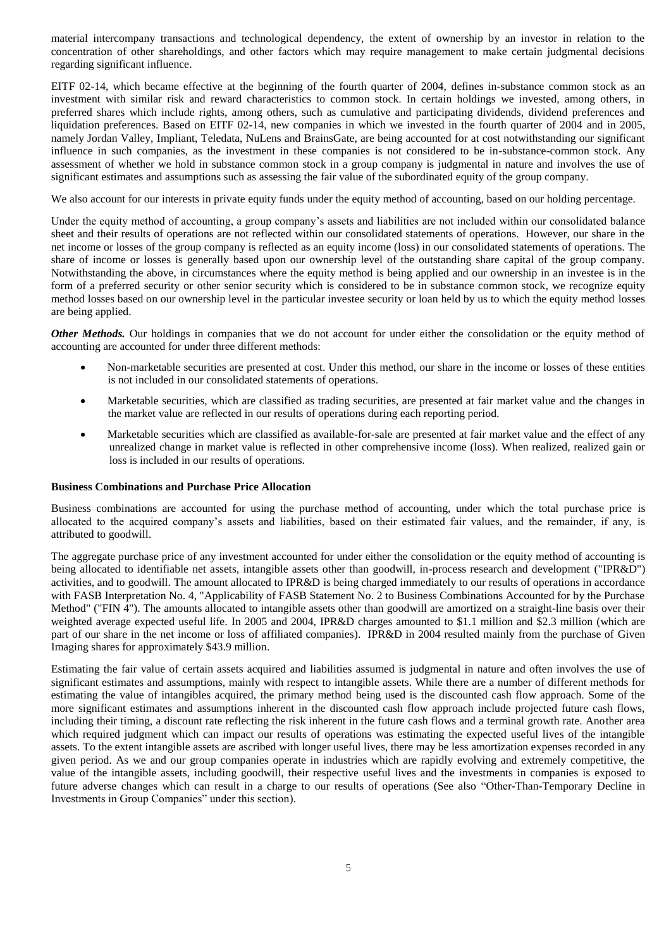material intercompany transactions and technological dependency, the extent of ownership by an investor in relation to the concentration of other shareholdings, and other factors which may require management to make certain judgmental decisions regarding significant influence.

EITF 02-14, which became effective at the beginning of the fourth quarter of 2004, defines in-substance common stock as an investment with similar risk and reward characteristics to common stock. In certain holdings we invested, among others, in preferred shares which include rights, among others, such as cumulative and participating dividends, dividend preferences and liquidation preferences. Based on EITF 02-14, new companies in which we invested in the fourth quarter of 2004 and in 2005, namely Jordan Valley, Impliant, Teledata, NuLens and BrainsGate, are being accounted for at cost notwithstanding our significant influence in such companies, as the investment in these companies is not considered to be in-substance-common stock. Any assessment of whether we hold in substance common stock in a group company is judgmental in nature and involves the use of significant estimates and assumptions such as assessing the fair value of the subordinated equity of the group company.

We also account for our interests in private equity funds under the equity method of accounting, based on our holding percentage.

Under the equity method of accounting, a group company's assets and liabilities are not included within our consolidated balance sheet and their results of operations are not reflected within our consolidated statements of operations. However, our share in the net income or losses of the group company is reflected as an equity income (loss) in our consolidated statements of operations. The share of income or losses is generally based upon our ownership level of the outstanding share capital of the group company. Notwithstanding the above, in circumstances where the equity method is being applied and our ownership in an investee is in the form of a preferred security or other senior security which is considered to be in substance common stock, we recognize equity method losses based on our ownership level in the particular investee security or loan held by us to which the equity method losses are being applied.

*Other Methods*. Our holdings in companies that we do not account for under either the consolidation or the equity method of accounting are accounted for under three different methods:

- Non-marketable securities are presented at cost. Under this method, our share in the income or losses of these entities is not included in our consolidated statements of operations.
- Marketable securities, which are classified as trading securities, are presented at fair market value and the changes in the market value are reflected in our results of operations during each reporting period.
- Marketable securities which are classified as available-for-sale are presented at fair market value and the effect of any unrealized change in market value is reflected in other comprehensive income (loss). When realized, realized gain or loss is included in our results of operations.

### **Business Combinations and Purchase Price Allocation**

Business combinations are accounted for using the purchase method of accounting, under which the total purchase price is allocated to the acquired company's assets and liabilities, based on their estimated fair values, and the remainder, if any, is attributed to goodwill.

The aggregate purchase price of any investment accounted for under either the consolidation or the equity method of accounting is being allocated to identifiable net assets, intangible assets other than goodwill, in-process research and development ("IPR&D") activities, and to goodwill. The amount allocated to IPR&D is being charged immediately to our results of operations in accordance with FASB Interpretation No. 4, "Applicability of FASB Statement No. 2 to Business Combinations Accounted for by the Purchase Method" ("FIN 4"). The amounts allocated to intangible assets other than goodwill are amortized on a straight-line basis over their weighted average expected useful life. In 2005 and 2004, IPR&D charges amounted to \$1.1 million and \$2.3 million (which are part of our share in the net income or loss of affiliated companies). IPR&D in 2004 resulted mainly from the purchase of Given Imaging shares for approximately \$43.9 million.

Estimating the fair value of certain assets acquired and liabilities assumed is judgmental in nature and often involves the use of significant estimates and assumptions, mainly with respect to intangible assets. While there are a number of different methods for estimating the value of intangibles acquired, the primary method being used is the discounted cash flow approach. Some of the more significant estimates and assumptions inherent in the discounted cash flow approach include projected future cash flows, including their timing, a discount rate reflecting the risk inherent in the future cash flows and a terminal growth rate. Another area which required judgment which can impact our results of operations was estimating the expected useful lives of the intangible assets. To the extent intangible assets are ascribed with longer useful lives, there may be less amortization expenses recorded in any given period. As we and our group companies operate in industries which are rapidly evolving and extremely competitive, the value of the intangible assets, including goodwill, their respective useful lives and the investments in companies is exposed to future adverse changes which can result in a charge to our results of operations (See also "Other-Than-Temporary Decline in Investments in Group Companies" under this section).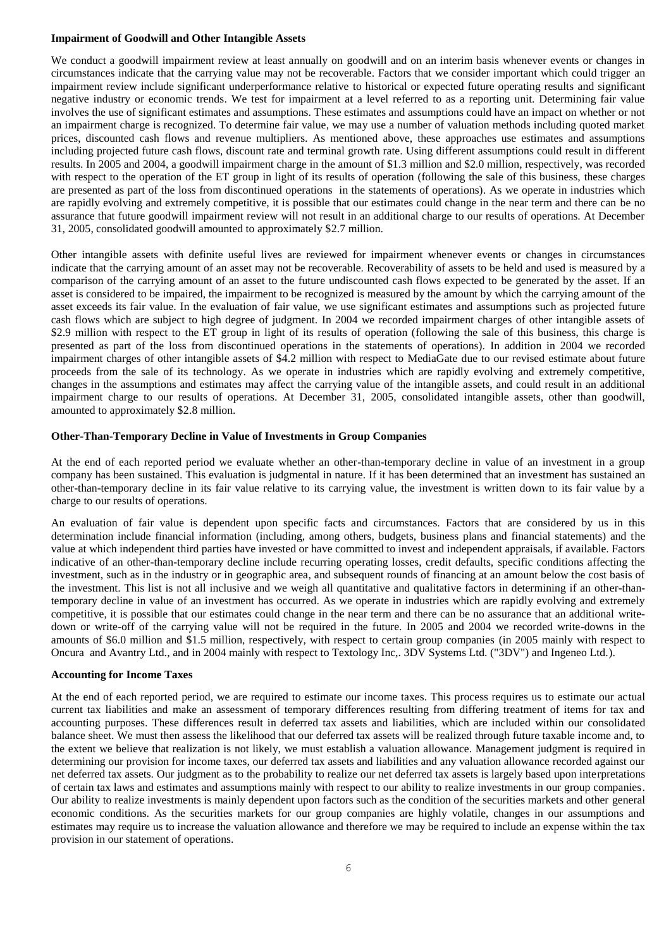#### **Impairment of Goodwill and Other Intangible Assets**

We conduct a goodwill impairment review at least annually on goodwill and on an interim basis whenever events or changes in circumstances indicate that the carrying value may not be recoverable. Factors that we consider important which could trigger an impairment review include significant underperformance relative to historical or expected future operating results and significant negative industry or economic trends. We test for impairment at a level referred to as a reporting unit. Determining fair value involves the use of significant estimates and assumptions. These estimates and assumptions could have an impact on whether or not an impairment charge is recognized. To determine fair value, we may use a number of valuation methods including quoted market prices, discounted cash flows and revenue multipliers. As mentioned above, these approaches use estimates and assumptions including projected future cash flows, discount rate and terminal growth rate. Using different assumptions could result in different results. In 2005 and 2004, a goodwill impairment charge in the amount of \$1.3 million and \$2.0 million, respectively, was recorded with respect to the operation of the ET group in light of its results of operation (following the sale of this business, these charges are presented as part of the loss from discontinued operations in the statements of operations). As we operate in industries which are rapidly evolving and extremely competitive, it is possible that our estimates could change in the near term and there can be no assurance that future goodwill impairment review will not result in an additional charge to our results of operations. At December 31, 2005, consolidated goodwill amounted to approximately \$2.7 million.

Other intangible assets with definite useful lives are reviewed for impairment whenever events or changes in circumstances indicate that the carrying amount of an asset may not be recoverable. Recoverability of assets to be held and used is measured by a comparison of the carrying amount of an asset to the future undiscounted cash flows expected to be generated by the asset. If an asset is considered to be impaired, the impairment to be recognized is measured by the amount by which the carrying amount of the asset exceeds its fair value. In the evaluation of fair value, we use significant estimates and assumptions such as projected future cash flows which are subject to high degree of judgment. In 2004 we recorded impairment charges of other intangible assets of \$2.9 million with respect to the ET group in light of its results of operation (following the sale of this business, this charge is presented as part of the loss from discontinued operations in the statements of operations). In addition in 2004 we recorded impairment charges of other intangible assets of \$4.2 million with respect to MediaGate due to our revised estimate about future proceeds from the sale of its technology. As we operate in industries which are rapidly evolving and extremely competitive, changes in the assumptions and estimates may affect the carrying value of the intangible assets, and could result in an additional impairment charge to our results of operations. At December 31, 2005, consolidated intangible assets, other than goodwill, amounted to approximately \$2.8 million.

### **Other-Than-Temporary Decline in Value of Investments in Group Companies**

At the end of each reported period we evaluate whether an other-than-temporary decline in value of an investment in a group company has been sustained. This evaluation is judgmental in nature. If it has been determined that an investment has sustained an other-than-temporary decline in its fair value relative to its carrying value, the investment is written down to its fair value by a charge to our results of operations.

An evaluation of fair value is dependent upon specific facts and circumstances. Factors that are considered by us in this determination include financial information (including, among others, budgets, business plans and financial statements) and the value at which independent third parties have invested or have committed to invest and independent appraisals, if available. Factors indicative of an other-than-temporary decline include recurring operating losses, credit defaults, specific conditions affecting the investment, such as in the industry or in geographic area, and subsequent rounds of financing at an amount below the cost basis of the investment. This list is not all inclusive and we weigh all quantitative and qualitative factors in determining if an other-thantemporary decline in value of an investment has occurred. As we operate in industries which are rapidly evolving and extremely competitive, it is possible that our estimates could change in the near term and there can be no assurance that an additional writedown or write-off of the carrying value will not be required in the future. In 2005 and 2004 we recorded write-downs in the amounts of \$6.0 million and \$1.5 million, respectively, with respect to certain group companies (in 2005 mainly with respect to Oncura and Avantry Ltd., and in 2004 mainly with respect to Textology Inc,. 3DV Systems Ltd. ("3DV") and Ingeneo Ltd.).

#### **Accounting for Income Taxes**

At the end of each reported period, we are required to estimate our income taxes. This process requires us to estimate our actual current tax liabilities and make an assessment of temporary differences resulting from differing treatment of items for tax and accounting purposes. These differences result in deferred tax assets and liabilities, which are included within our consolidated balance sheet. We must then assess the likelihood that our deferred tax assets will be realized through future taxable income and, to the extent we believe that realization is not likely, we must establish a valuation allowance. Management judgment is required in determining our provision for income taxes, our deferred tax assets and liabilities and any valuation allowance recorded against our net deferred tax assets. Our judgment as to the probability to realize our net deferred tax assets is largely based upon interpretations of certain tax laws and estimates and assumptions mainly with respect to our ability to realize investments in our group companies. Our ability to realize investments is mainly dependent upon factors such as the condition of the securities markets and other general economic conditions. As the securities markets for our group companies are highly volatile, changes in our assumptions and estimates may require us to increase the valuation allowance and therefore we may be required to include an expense within the tax provision in our statement of operations.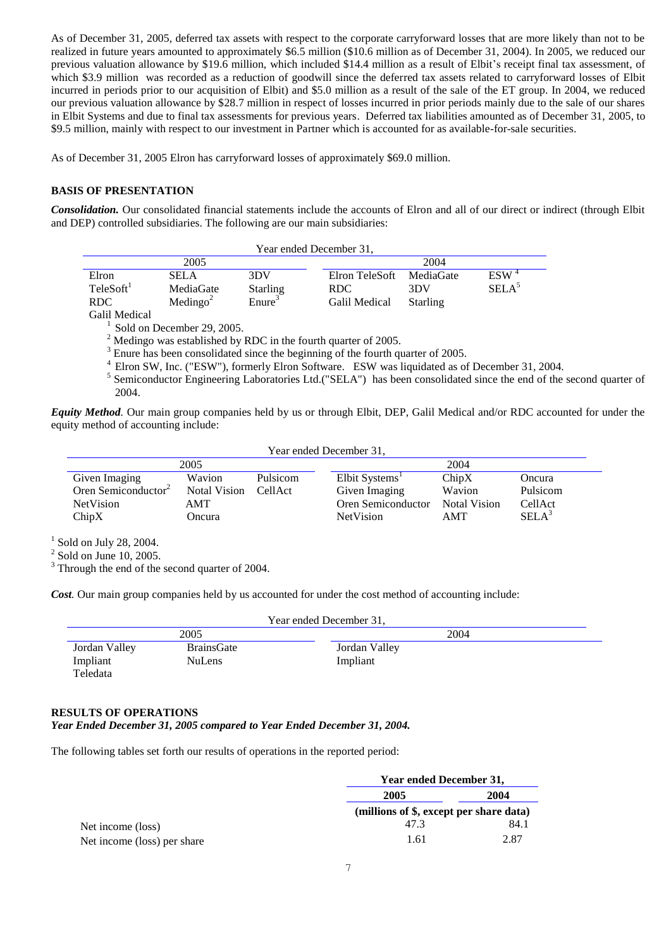As of December 31, 2005, deferred tax assets with respect to the corporate carryforward losses that are more likely than not to be realized in future years amounted to approximately \$6.5 million (\$10.6 million as of December 31, 2004). In 2005, we reduced our previous valuation allowance by \$19.6 million, which included \$14.4 million as a result of Elbit's receipt final tax assessment, of which \$3.9 million was recorded as a reduction of goodwill since the deferred tax assets related to carryforward losses of Elbit incurred in periods prior to our acquisition of Elbit) and \$5.0 million as a result of the sale of the ET group. In 2004, we reduced our previous valuation allowance by \$28.7 million in respect of losses incurred in prior periods mainly due to the sale of our shares in Elbit Systems and due to final tax assessments for previous years. Deferred tax liabilities amounted as of December 31, 2005, to \$9.5 million, mainly with respect to our investment in Partner which is accounted for as available-for-sale securities.

As of December 31, 2005 Elron has carryforward losses of approximately \$69.0 million.

# **BASIS OF PRESENTATION**

**Consolidation.** Our consolidated financial statements include the accounts of Elron and all of our direct or indirect (through Elbit and DEP) controlled subsidiaries. The following are our main subsidiaries:

| Year ended December 31,                                |                                                  |                                                 |      |                                               |                                     |                                       |
|--------------------------------------------------------|--------------------------------------------------|-------------------------------------------------|------|-----------------------------------------------|-------------------------------------|---------------------------------------|
| 2005                                                   |                                                  |                                                 | 2004 |                                               |                                     |                                       |
| Elron<br>TeleSoft <sup>1</sup><br>RDC<br>Galil Medical | <b>SELA</b><br>MediaGate<br>Medingo <sup>2</sup> | 3DV<br><b>Starling</b><br>$E$ nure <sup>3</sup> |      | Elron TeleSoft<br>RDC<br><b>Galil Medical</b> | MediaGate<br>3DV<br><b>Starling</b> | ESW <sup>4</sup><br>SELA <sup>5</sup> |

<sup>1</sup> Sold on December 29, 2005.

<sup>2</sup> Medingo was established by RDC in the fourth quarter of 2005.

<sup>3</sup> Enure has been consolidated since the beginning of the fourth quarter of 2005.

<sup>4</sup> Elron SW, Inc. ("ESW"), formerly Elron Software. ESW was liquidated as of December 31, 2004.

<sup>5</sup> Semiconductor Engineering Laboratories Ltd.("SELA") has been consolidated since the end of the second quarter of 2004.

*Equity Method.* Our main group companies held by us or through Elbit, DEP, Galil Medical and/or RDC accounted for under the equity method of accounting include:

| Year ended December 31,         |                     |          |                            |              |                   |  |
|---------------------------------|---------------------|----------|----------------------------|--------------|-------------------|--|
| 2005                            |                     |          | 2004                       |              |                   |  |
| Given Imaging                   | Wavion              | Pulsicom | Elbit Systems <sup>1</sup> | ChipX        | Oncura            |  |
| Oren Semiconductor <sup>2</sup> | <b>Notal Vision</b> | CellAct  | Given Imaging              | Wavion       | Pulsicom          |  |
| NetVision                       | AMT                 |          | Oren Semiconductor         | Notal Vision | CellAct           |  |
| ChipX                           | Oncura              |          | <b>NetVision</b>           | AMT          | SELA <sup>3</sup> |  |

 $<sup>1</sup>$  Sold on July 28, 2004.</sup>

 $2$  Sold on June 10, 2005.

<sup>3</sup> Through the end of the second quarter of 2004.

*Cost.* Our main group companies held by us accounted for under the cost method of accounting include:

| Year ended December 31, |                   |               |  |  |  |
|-------------------------|-------------------|---------------|--|--|--|
|                         | 2005              | 2004          |  |  |  |
| Jordan Valley           | <b>BrainsGate</b> | Jordan Valley |  |  |  |
| Impliant                | <b>NuLens</b>     | Impliant      |  |  |  |
| Teledata                |                   |               |  |  |  |

# **RESULTS OF OPERATIONS**

*Year Ended December 31, 2005 compared to Year Ended December 31, 2004.*

The following tables set forth our results of operations in the reported period:

|                             |                                         | <b>Year ended December 31,</b> |  |  |
|-----------------------------|-----------------------------------------|--------------------------------|--|--|
|                             | 2005                                    | 2004                           |  |  |
|                             | (millions of \$, except per share data) |                                |  |  |
| Net income (loss)           | 47.3                                    | 84.1                           |  |  |
| Net income (loss) per share | 1.61                                    | 2.87                           |  |  |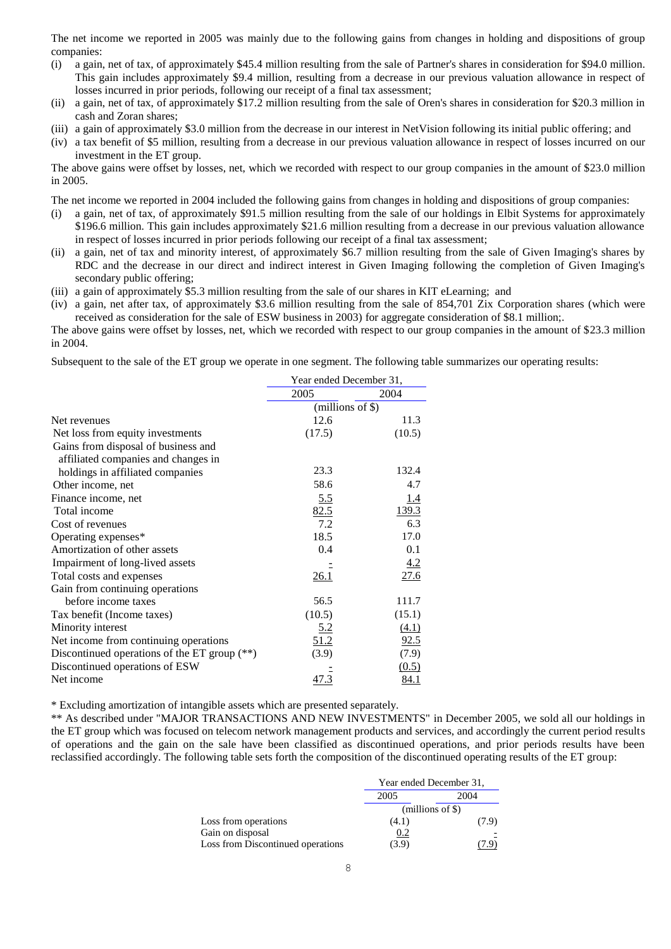The net income we reported in 2005 was mainly due to the following gains from changes in holding and dispositions of group companies:

- (i) a gain, net of tax, of approximately \$45.4 million resulting from the sale of Partner's shares in consideration for \$94.0 million. This gain includes approximately \$9.4 million, resulting from a decrease in our previous valuation allowance in respect of losses incurred in prior periods, following our receipt of a final tax assessment;
- (ii) a gain, net of tax, of approximately \$17.2 million resulting from the sale of Oren's shares in consideration for \$20.3 million in cash and Zoran shares;
- (iii) a gain of approximately \$3.0 million from the decrease in our interest in NetVision following its initial public offering; and
- (iv) a tax benefit of \$5 million, resulting from a decrease in our previous valuation allowance in respect of losses incurred on our investment in the ET group.

The above gains were offset by losses, net, which we recorded with respect to our group companies in the amount of \$23.0 million in 2005.

The net income we reported in 2004 included the following gains from changes in holding and dispositions of group companies:

- (i) a gain, net of tax, of approximately \$91.5 million resulting from the sale of our holdings in Elbit Systems for approximately \$196.6 million. This gain includes approximately \$21.6 million resulting from a decrease in our previous valuation allowance in respect of losses incurred in prior periods following our receipt of a final tax assessment;
- (ii) a gain, net of tax and minority interest, of approximately \$6.7 million resulting from the sale of Given Imaging's shares by RDC and the decrease in our direct and indirect interest in Given Imaging following the completion of Given Imaging's secondary public offering;
- (iii) a gain of approximately \$5.3 million resulting from the sale of our shares in KIT eLearning; and
- (iv) a gain, net after tax, of approximately \$3.6 million resulting from the sale of 854,701 Zix Corporation shares (which were received as consideration for the sale of ESW business in 2003) for aggregate consideration of \$8.1 million;.

The above gains were offset by losses, net, which we recorded with respect to our group companies in the amount of \$23.3 million in 2004.

Subsequent to the sale of the ET group we operate in one segment. The following table summarizes our operating results:

|                                                | Year ended December 31, |             |  |
|------------------------------------------------|-------------------------|-------------|--|
|                                                | 2005                    | 2004        |  |
|                                                | (millions of \$)        |             |  |
| Net revenues                                   | 12.6                    | 11.3        |  |
| Net loss from equity investments               | (17.5)                  | (10.5)      |  |
| Gains from disposal of business and            |                         |             |  |
| affiliated companies and changes in            |                         |             |  |
| holdings in affiliated companies               | 23.3                    | 132.4       |  |
| Other income, net                              | 58.6                    | 4.7         |  |
| Finance income, net                            | 5.5                     | 1.4         |  |
| Total income                                   | 82.5                    | 139.3       |  |
| Cost of revenues                               | 7.2                     | 6.3         |  |
| Operating expenses*                            | 18.5                    | 17.0        |  |
| Amortization of other assets                   | 0.4                     | 0.1         |  |
| Impairment of long-lived assets                |                         | 4.2         |  |
| Total costs and expenses                       | 26.1                    | 27.6        |  |
| Gain from continuing operations                |                         |             |  |
| before income taxes                            | 56.5                    | 111.7       |  |
| Tax benefit (Income taxes)                     | (10.5)                  | (15.1)      |  |
| Minority interest                              | 5.2                     | (4.1)       |  |
| Net income from continuing operations          | 51.2                    | 92.5        |  |
| Discontinued operations of the ET group $(**)$ | (3.9)                   | (7.9)       |  |
| Discontinued operations of ESW                 |                         | (0.5)       |  |
| Net income                                     | 47.3                    | <u>84.1</u> |  |
|                                                |                         |             |  |

\* Excluding amortization of intangible assets which are presented separately.

\*\* As described under "MAJOR TRANSACTIONS AND NEW INVESTMENTS" in December 2005, we sold all our holdings in the ET group which was focused on telecom network management products and services, and accordingly the current period results of operations and the gain on the sale have been classified as discontinued operations, and prior periods results have been reclassified accordingly. The following table sets forth the composition of the discontinued operating results of the ET group:

|                                   | Year ended December 31, |       |  |
|-----------------------------------|-------------------------|-------|--|
|                                   | 2005<br>2004            |       |  |
|                                   | $(millions of \$)$      |       |  |
| Loss from operations              | (4.1)                   | (7.9) |  |
| Gain on disposal                  | 0.2                     |       |  |
| Loss from Discontinued operations | (3.9)                   |       |  |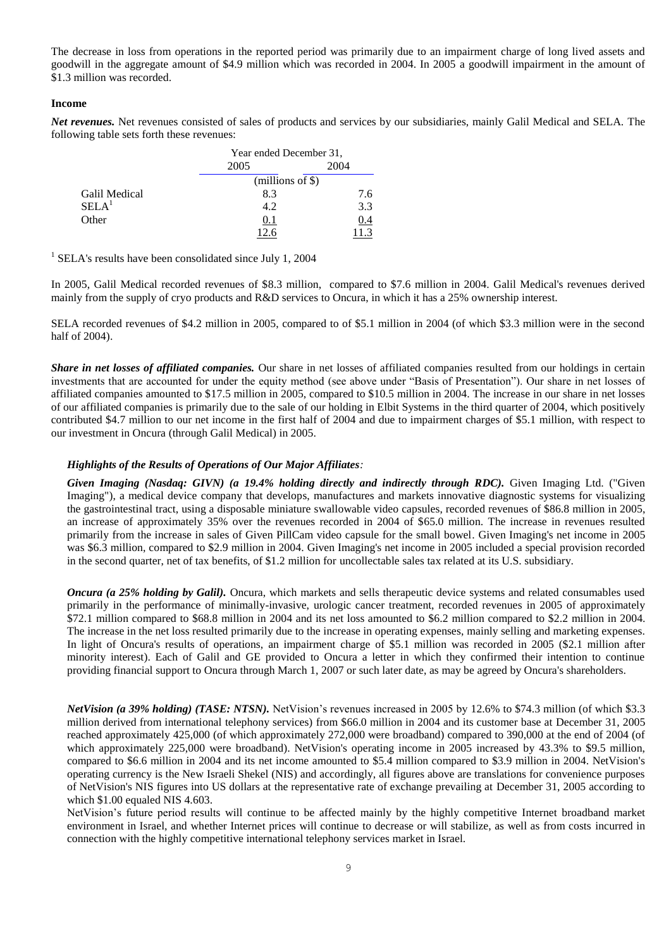The decrease in loss from operations in the reported period was primarily due to an impairment charge of long lived assets and goodwill in the aggregate amount of \$4.9 million which was recorded in 2004. In 2005 a goodwill impairment in the amount of \$1.3 million was recorded.

#### **Income**

*Net revenues.* Net revenues consisted of sales of products and services by our subsidiaries, mainly Galil Medical and SELA. The following table sets forth these revenues:

|                   | Year ended December 31, |      |  |
|-------------------|-------------------------|------|--|
|                   | 2005                    | 2004 |  |
|                   | $(millions of \S)$      |      |  |
| Galil Medical     | 8.3                     | 7.6  |  |
| SELA <sup>1</sup> | 4.2                     | 3.3  |  |
| Other             | 0.1                     | 0.4  |  |
|                   |                         |      |  |

<sup>1</sup> SELA's results have been consolidated since July 1, 2004

In 2005, Galil Medical recorded revenues of \$8.3 million, compared to \$7.6 million in 2004. Galil Medical's revenues derived mainly from the supply of cryo products and R&D services to Oncura, in which it has a 25% ownership interest.

SELA recorded revenues of \$4.2 million in 2005, compared to of \$5.1 million in 2004 (of which \$3.3 million were in the second half of 2004).

*Share in net losses of affiliated companies.* Our share in net losses of affiliated companies resulted from our holdings in certain investments that are accounted for under the equity method (see above under "Basis of Presentation"). Our share in net losses of affiliated companies amounted to \$17.5 million in 2005, compared to \$10.5 million in 2004. The increase in our share in net losses of our affiliated companies is primarily due to the sale of our holding in Elbit Systems in the third quarter of 2004, which positively contributed \$4.7 million to our net income in the first half of 2004 and due to impairment charges of \$5.1 million, with respect to our investment in Oncura (through Galil Medical) in 2005.

### *Highlights of the Results of Operations of Our Major Affiliates:*

*Given Imaging (Nasdaq: GIVN) (a 19.4% holding directly and indirectly through RDC).* Given Imaging Ltd. ("Given Imaging"), a medical device company that develops, manufactures and markets innovative diagnostic systems for visualizing the gastrointestinal tract, using a disposable miniature swallowable video capsules, recorded revenues of \$86.8 million in 2005, an increase of approximately 35% over the revenues recorded in 2004 of \$65.0 million. The increase in revenues resulted primarily from the increase in sales of Given PillCam video capsule for the small bowel. Given Imaging's net income in 2005 was \$6.3 million, compared to \$2.9 million in 2004. Given Imaging's net income in 2005 included a special provision recorded in the second quarter, net of tax benefits, of \$1.2 million for uncollectable sales tax related at its U.S. subsidiary.

*Oncura (a 25% holding by Galil).* Oncura, which markets and sells therapeutic device systems and related consumables used primarily in the performance of minimally-invasive, urologic cancer treatment, recorded revenues in 2005 of approximately \$72.1 million compared to \$68.8 million in 2004 and its net loss amounted to \$6.2 million compared to \$2.2 million in 2004. The increase in the net loss resulted primarily due to the increase in operating expenses, mainly selling and marketing expenses. In light of Oncura's results of operations, an impairment charge of \$5.1 million was recorded in 2005 (\$2.1 million after minority interest). Each of Galil and GE provided to Oncura a letter in which they confirmed their intention to continue providing financial support to Oncura through March 1, 2007 or such later date, as may be agreed by Oncura's shareholders.

*NetVision (a 39% holding) (TASE: NTSN).* NetVision's revenues increased in 2005 by 12.6% to \$74.3 million (of which \$3.3 million derived from international telephony services) from \$66.0 million in 2004 and its customer base at December 31, 2005 reached approximately 425,000 (of which approximately 272,000 were broadband) compared to 390,000 at the end of 2004 (of which approximately 225,000 were broadband). NetVision's operating income in 2005 increased by 43.3% to \$9.5 million, compared to \$6.6 million in 2004 and its net income amounted to \$5.4 million compared to \$3.9 million in 2004. NetVision's operating currency is the New Israeli Shekel (NIS) and accordingly, all figures above are translations for convenience purposes of NetVision's NIS figures into US dollars at the representative rate of exchange prevailing at December 31, 2005 according to which \$1.00 equaled NIS 4.603.

NetVision's future period results will continue to be affected mainly by the highly competitive Internet broadband market environment in Israel, and whether Internet prices will continue to decrease or will stabilize, as well as from costs incurred in connection with the highly competitive international telephony services market in Israel.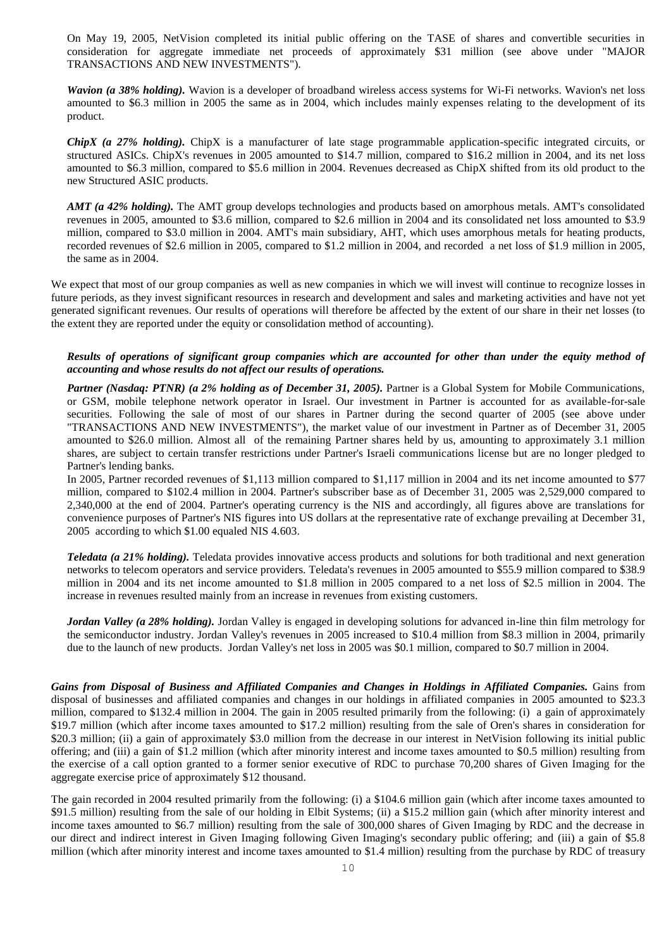On May 19, 2005, NetVision completed its initial public offering on the TASE of shares and convertible securities in consideration for aggregate immediate net proceeds of approximately \$31 million (see above under "MAJOR TRANSACTIONS AND NEW INVESTMENTS").

*Wavion (a 38% holding).* Wavion is a developer of broadband wireless access systems for Wi-Fi networks. Wavion's net loss amounted to \$6.3 million in 2005 the same as in 2004, which includes mainly expenses relating to the development of its product.

*ChipX (a 27% holding).* ChipX is a manufacturer of late stage programmable application-specific integrated circuits, or structured ASICs. ChipX's revenues in 2005 amounted to \$14.7 million, compared to \$16.2 million in 2004, and its net loss amounted to \$6.3 million, compared to \$5.6 million in 2004. Revenues decreased as ChipX shifted from its old product to the new Structured ASIC products.

*AMT (a 42% holding).* The AMT group develops technologies and products based on amorphous metals. AMT's consolidated revenues in 2005, amounted to \$3.6 million, compared to \$2.6 million in 2004 and its consolidated net loss amounted to \$3.9 million, compared to \$3.0 million in 2004. AMT's main subsidiary, AHT, which uses amorphous metals for heating products, recorded revenues of \$2.6 million in 2005, compared to \$1.2 million in 2004, and recorded a net loss of \$1.9 million in 2005, the same as in 2004.

We expect that most of our group companies as well as new companies in which we will invest will continue to recognize losses in future periods, as they invest significant resources in research and development and sales and marketing activities and have not yet generated significant revenues. Our results of operations will therefore be affected by the extent of our share in their net losses (to the extent they are reported under the equity or consolidation method of accounting).

## *Results of operations of significant group companies which are accounted for other than under the equity method of accounting and whose results do not affect our results of operations.*

*Partner (Nasdaq: PTNR) (a 2% holding as of December 31, 2005).* Partner is a Global System for Mobile Communications, or GSM, mobile telephone network operator in Israel. Our investment in Partner is accounted for as available-for-sale securities. Following the sale of most of our shares in Partner during the second quarter of 2005 (see above under "TRANSACTIONS AND NEW INVESTMENTS"), the market value of our investment in Partner as of December 31, 2005 amounted to \$26.0 million. Almost all of the remaining Partner shares held by us, amounting to approximately 3.1 million shares, are subject to certain transfer restrictions under Partner's Israeli communications license but are no longer pledged to Partner's lending banks.

In 2005, Partner recorded revenues of \$1,113 million compared to \$1,117 million in 2004 and its net income amounted to \$77 million, compared to \$102.4 million in 2004. Partner's subscriber base as of December 31, 2005 was 2,529,000 compared to 2,340,000 at the end of 2004. Partner's operating currency is the NIS and accordingly, all figures above are translations for convenience purposes of Partner's NIS figures into US dollars at the representative rate of exchange prevailing at December 31, 2005 according to which \$1.00 equaled NIS 4.603.

*Teledata (a 21% holding).* Teledata provides innovative access products and solutions for both traditional and next generation networks to telecom operators and service providers. Teledata's revenues in 2005 amounted to \$55.9 million compared to \$38.9 million in 2004 and its net income amounted to \$1.8 million in 2005 compared to a net loss of \$2.5 million in 2004. The increase in revenues resulted mainly from an increase in revenues from existing customers.

*Jordan Valley (a 28% holding).* Jordan Valley is engaged in developing solutions for advanced in-line thin film metrology for the semiconductor industry. Jordan Valley's revenues in 2005 increased to \$10.4 million from \$8.3 million in 2004, primarily due to the launch of new products. Jordan Valley's net loss in 2005 was \$0.1 million, compared to \$0.7 million in 2004.

*Gains from Disposal of Business and Affiliated Companies and Changes in Holdings in Affiliated Companies.* Gains from disposal of businesses and affiliated companies and changes in our holdings in affiliated companies in 2005 amounted to \$23.3 million, compared to \$132.4 million in 2004. The gain in 2005 resulted primarily from the following: (i) a gain of approximately \$19.7 million (which after income taxes amounted to \$17.2 million) resulting from the sale of Oren's shares in consideration for \$20.3 million; (ii) a gain of approximately \$3.0 million from the decrease in our interest in NetVision following its initial public offering; and (iii) a gain of \$1.2 million (which after minority interest and income taxes amounted to \$0.5 million) resulting from the exercise of a call option granted to a former senior executive of RDC to purchase 70,200 shares of Given Imaging for the aggregate exercise price of approximately \$12 thousand.

The gain recorded in 2004 resulted primarily from the following: (i) a \$104.6 million gain (which after income taxes amounted to \$91.5 million) resulting from the sale of our holding in Elbit Systems; (ii) a \$15.2 million gain (which after minority interest and income taxes amounted to \$6.7 million) resulting from the sale of 300,000 shares of Given Imaging by RDC and the decrease in our direct and indirect interest in Given Imaging following Given Imaging's secondary public offering; and (iii) a gain of \$5.8 million (which after minority interest and income taxes amounted to \$1.4 million) resulting from the purchase by RDC of treasury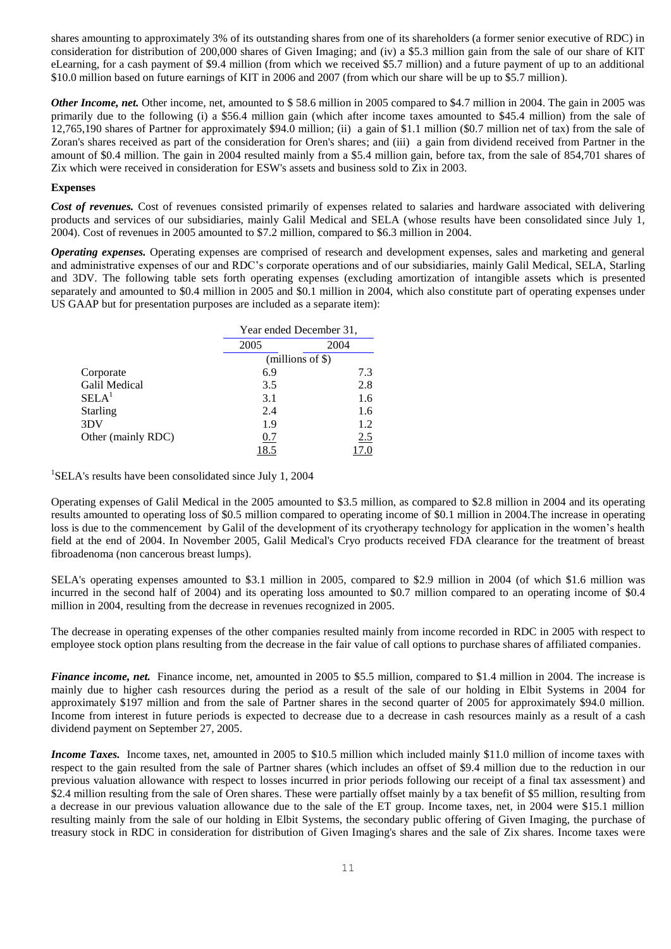shares amounting to approximately 3% of its outstanding shares from one of its shareholders (a former senior executive of RDC) in consideration for distribution of 200,000 shares of Given Imaging; and (iv) a \$5.3 million gain from the sale of our share of KIT eLearning, for a cash payment of \$9.4 million (from which we received \$5.7 million) and a future payment of up to an additional \$10.0 million based on future earnings of KIT in 2006 and 2007 (from which our share will be up to \$5.7 million).

*Other Income, net.* Other income, net, amounted to \$ 58.6 million in 2005 compared to \$4.7 million in 2004. The gain in 2005 was primarily due to the following (i) a \$56.4 million gain (which after income taxes amounted to \$45.4 million) from the sale of 12,765,190 shares of Partner for approximately \$94.0 million; (ii) a gain of \$1.1 million (\$0.7 million net of tax) from the sale of Zoran's shares received as part of the consideration for Oren's shares; and (iii) a gain from dividend received from Partner in the amount of \$0.4 million. The gain in 2004 resulted mainly from a \$5.4 million gain, before tax, from the sale of 854,701 shares of Zix which were received in consideration for ESW's assets and business sold to Zix in 2003.

### **Expenses**

*Cost of revenues.* Cost of revenues consisted primarily of expenses related to salaries and hardware associated with delivering products and services of our subsidiaries, mainly Galil Medical and SELA (whose results have been consolidated since July 1, 2004). Cost of revenues in 2005 amounted to \$7.2 million, compared to \$6.3 million in 2004.

*Operating expenses.* Operating expenses are comprised of research and development expenses, sales and marketing and general and administrative expenses of our and RDC's corporate operations and of our subsidiaries, mainly Galil Medical, SELA, Starling and 3DV. The following table sets forth operating expenses (excluding amortization of intangible assets which is presented separately and amounted to \$0.4 million in 2005 and \$0.1 million in 2004, which also constitute part of operating expenses under US GAAP but for presentation purposes are included as a separate item):

|                      |      | Year ended December 31, |  |  |
|----------------------|------|-------------------------|--|--|
|                      | 2005 | 2004                    |  |  |
|                      |      | $(millions of \$)$      |  |  |
| Corporate            | 6.9  | 7.3                     |  |  |
| <b>Galil Medical</b> | 3.5  | 2.8                     |  |  |
| SELA <sup>1</sup>    | 3.1  | 1.6                     |  |  |
| <b>Starling</b>      | 2.4  | 1.6                     |  |  |
| 3DV                  | 1.9  | 1.2                     |  |  |
| Other (mainly RDC)   | 0.7  | 2.5                     |  |  |
|                      | 18.5 | 17.0                    |  |  |

<sup>1</sup>SELA's results have been consolidated since July 1, 2004

Operating expenses of Galil Medical in the 2005 amounted to \$3.5 million, as compared to \$2.8 million in 2004 and its operating results amounted to operating loss of \$0.5 million compared to operating income of \$0.1 million in 2004.The increase in operating loss is due to the commencement by Galil of the development of its cryotherapy technology for application in the women's health field at the end of 2004. In November 2005, Galil Medical's Cryo products received FDA clearance for the treatment of breast fibroadenoma (non cancerous breast lumps).

SELA's operating expenses amounted to \$3.1 million in 2005, compared to \$2.9 million in 2004 (of which \$1.6 million was incurred in the second half of 2004) and its operating loss amounted to \$0.7 million compared to an operating income of \$0.4 million in 2004, resulting from the decrease in revenues recognized in 2005.

The decrease in operating expenses of the other companies resulted mainly from income recorded in RDC in 2005 with respect to employee stock option plans resulting from the decrease in the fair value of call options to purchase shares of affiliated companies.

*Finance income, net.* Finance income, net, amounted in 2005 to \$5.5 million, compared to \$1.4 million in 2004. The increase is mainly due to higher cash resources during the period as a result of the sale of our holding in Elbit Systems in 2004 for approximately \$197 million and from the sale of Partner shares in the second quarter of 2005 for approximately \$94.0 million. Income from interest in future periods is expected to decrease due to a decrease in cash resources mainly as a result of a cash dividend payment on September 27, 2005.

*Income Taxes.* Income taxes, net, amounted in 2005 to \$10.5 million which included mainly \$11.0 million of income taxes with respect to the gain resulted from the sale of Partner shares (which includes an offset of \$9.4 million due to the reduction in our previous valuation allowance with respect to losses incurred in prior periods following our receipt of a final tax assessment) and \$2.4 million resulting from the sale of Oren shares. These were partially offset mainly by a tax benefit of \$5 million, resulting from a decrease in our previous valuation allowance due to the sale of the ET group. Income taxes, net, in 2004 were \$15.1 million resulting mainly from the sale of our holding in Elbit Systems, the secondary public offering of Given Imaging, the purchase of treasury stock in RDC in consideration for distribution of Given Imaging's shares and the sale of Zix shares. Income taxes were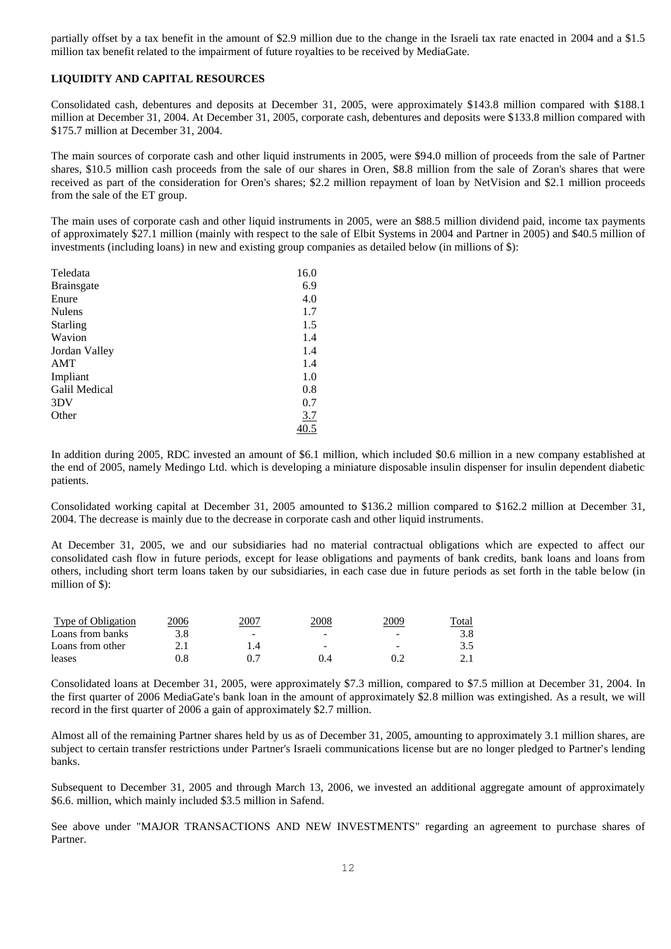partially offset by a tax benefit in the amount of \$2.9 million due to the change in the Israeli tax rate enacted in 2004 and a \$1.5 million tax benefit related to the impairment of future royalties to be received by MediaGate.

# **LIQUIDITY AND CAPITAL RESOURCES**

Consolidated cash, debentures and deposits at December 31, 2005, were approximately \$143.8 million compared with \$188.1 million at December 31, 2004. At December 31, 2005, corporate cash, debentures and deposits were \$133.8 million compared with \$175.7 million at December 31, 2004.

The main sources of corporate cash and other liquid instruments in 2005, were \$94.0 million of proceeds from the sale of Partner shares, \$10.5 million cash proceeds from the sale of our shares in Oren, \$8.8 million from the sale of Zoran's shares that were received as part of the consideration for Oren's shares; \$2.2 million repayment of loan by NetVision and \$2.1 million proceeds from the sale of the ET group.

The main uses of corporate cash and other liquid instruments in 2005, were an \$88.5 million dividend paid, income tax payments of approximately \$27.1 million (mainly with respect to the sale of Elbit Systems in 2004 and Partner in 2005) and \$40.5 million of investments (including loans) in new and existing group companies as detailed below (in millions of \$):

| Teledata          | 16.0 |
|-------------------|------|
| <b>Brainsgate</b> | 6.9  |
| Enure             | 4.0  |
| <b>Nulens</b>     | 1.7  |
| <b>Starling</b>   | 1.5  |
| Wavion            | 1.4  |
| Jordan Valley     | 1.4  |
| AMT               | 1.4  |
| Impliant          | 1.0  |
| Galil Medical     | 0.8  |
| 3DV               | 0.7  |
| Other             | 3.7  |
|                   | 40.5 |

In addition during 2005, RDC invested an amount of \$6.1 million, which included \$0.6 million in a new company established at the end of 2005, namely Medingo Ltd. which is developing a miniature disposable insulin dispenser for insulin dependent diabetic patients.

Consolidated working capital at December 31, 2005 amounted to \$136.2 million compared to \$162.2 million at December 31, 2004. The decrease is mainly due to the decrease in corporate cash and other liquid instruments.

At December 31, 2005, we and our subsidiaries had no material contractual obligations which are expected to affect our consolidated cash flow in future periods, except for lease obligations and payments of bank credits, bank loans and loans from others, including short term loans taken by our subsidiaries, in each case due in future periods as set forth in the table below (in million of \$):

| Type of Obligation | <u>2006</u> | 200′ | 1008 | 2009                     | Total |
|--------------------|-------------|------|------|--------------------------|-------|
| Loans from banks   | 3.8         | -    | -    | $\overline{\phantom{0}}$ |       |
| Loans from other   |             |      | -    | -                        |       |
| leases             |             |      |      |                          |       |

Consolidated loans at December 31, 2005, were approximately \$7.3 million, compared to \$7.5 million at December 31, 2004. In the first quarter of 2006 MediaGate's bank loan in the amount of approximately \$2.8 million was extingished. As a result, we will record in the first quarter of 2006 a gain of approximately \$2.7 million.

Almost all of the remaining Partner shares held by us as of December 31, 2005, amounting to approximately 3.1 million shares, are subject to certain transfer restrictions under Partner's Israeli communications license but are no longer pledged to Partner's lending banks.

Subsequent to December 31, 2005 and through March 13, 2006, we invested an additional aggregate amount of approximately \$6.6. million, which mainly included \$3.5 million in Safend.

See above under "MAJOR TRANSACTIONS AND NEW INVESTMENTS" regarding an agreement to purchase shares of Partner.